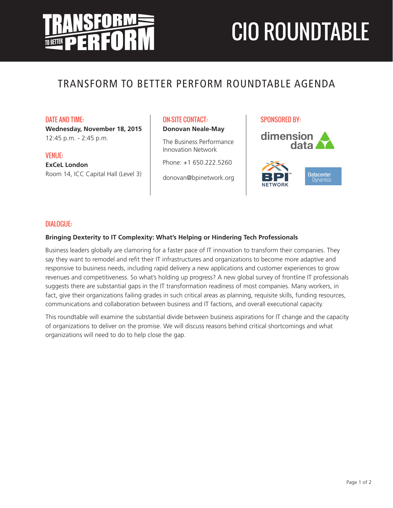# CIO ROUNDTABLE

# TRANSFORM TO BETTER PERFORM ROUNDTABLE AGENDA

DATE AND TIME:

**Wednesday, November 18, 2015** 12:45 p.m. - 2:45 p.m.

VENUE: **ExCeL London**  Room 14, ICC Capital Hall (Level 3) ON-SITE CONTACT: **Donovan Neale-May**

The Business Performance Innovation Network

Phone: +1 650.222.5260

donovan@bpinetwork.org

SPONSORED BY:





# DIALOGUE:

# **Bringing Dexterity to IT Complexity: What's Helping or Hindering Tech Professionals**

Business leaders globally are clamoring for a faster pace of IT innovation to transform their companies. They say they want to remodel and refit their IT infrastructures and organizations to become more adaptive and responsive to business needs, including rapid delivery a new applications and customer experiences to grow revenues and competitiveness. So what's holding up progress? A new global survey of frontline IT professionals suggests there are substantial gaps in the IT transformation readiness of most companies. Many workers, in fact, give their organizations failing grades in such critical areas as planning, requisite skills, funding resources, communications and collaboration between business and IT factions, and overall executional capacity.

This roundtable will examine the substantial divide between business aspirations for IT change and the capacity of organizations to deliver on the promise. We will discuss reasons behind critical shortcomings and what organizations will need to do to help close the gap.